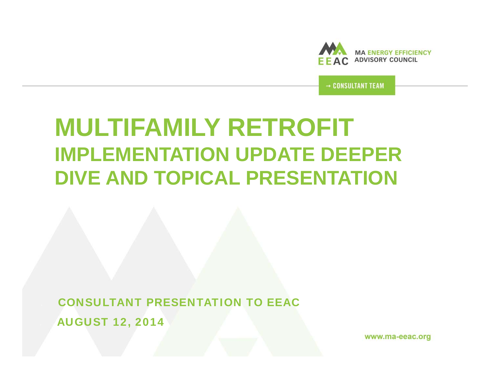

→ CONSULTANT TEAM

# **MULTIFAMILY RETROFIT IMPLEMENTATION UPDATE DEEPER DIVE AND TOPICAL PRESENTATION**

 CONSULTANT PRESENTATION TO EEACAUGUST 12, 2014

www.ma-eeac.org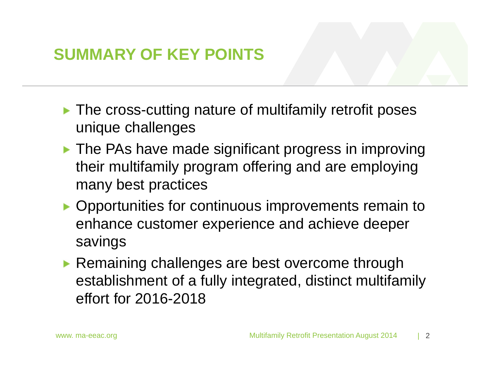# **SUMMARY OF KEY POINTS**

- ▶ The cross-cutting nature of multifamily retrofit poses unique challenges
- **The PAs have made significant progress in improving** their multifamily program offering and are employing many best practices
- ▶ Opportunities for continuous improvements remain to enhance customer experience and achieve deeper savings
- ▶ Remaining challenges are best overcome through establishment of a fully integrated, distinct multifamily effort for 2016-2018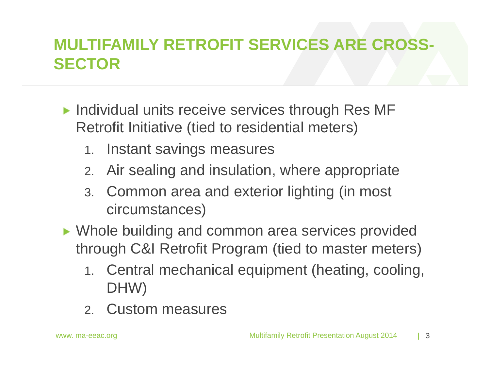# **MULTIFAMILY RETROFIT SERVICES ARE CROSS-SECTOR**

- $\blacktriangleright$  Individual units receive services through Res MF Retrofit Initiative (tied to residential meters)
	- 1. Instant savings measures
	- 2. Air sealing and insulation, where appropriate
	- 3. Common area and exterior lighting (in most circumstances)
- ▶ Whole building and common area services provided through C&I Retrofit Program (tied to master meters)
	- 1. Central mechanical equipment (heating, cooling, DHW)
	- 2. Custom measures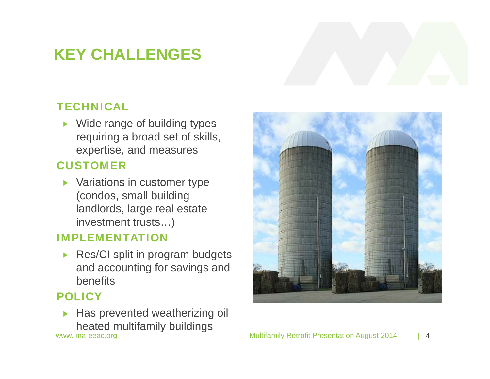# **KEY CHALLENGES**

### **TECHNICAL**

▶ Wide range of building types requiring a broad set of skills, expertise, and measures

### CUSTOMER

**Variations in customer type** (condos, small building landlords, large real estate investment trusts…)

### IMPLEMENTATION

Res/CI split in program budgets and accounting for savings and benefits

### **POLICY**

www. ma-eeac.org **Multifamily Retrofit Presentation August 2014 Has prevented weatherizing oil** heated multifamily buildings

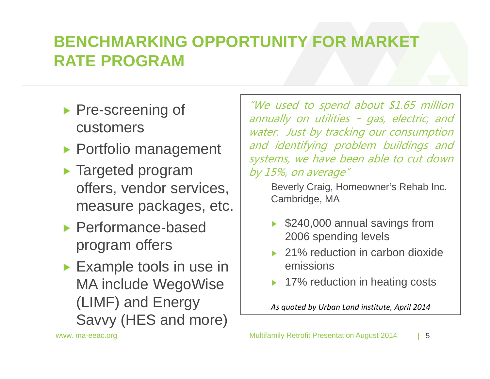# **BENCHMARKING OPPORTUNITY FOR MARKET RATE PROGRAM**

- **Pre-screening of** customers
- ▶ Portfolio management
- **F** Targeted program offers, vendor services, measure packages, etc.
- ▶ Performance-based program offers
- **Example tools in use in** MA include WegoWise (LIMF) and Energy Savvy (HES and more)

"We used to spend about \$1.65 million annually on utilities – gas, electric, and water. Just by tracking our consumption and identifying problem buildings and systems, we have been able to cut down by 15%, on average"

Beverly Craig, Homeowner's Rehab Inc. Cambridge, MA

- \$240,000 annual savings from 2006 spending levels
- ▶ 21% reduction in carbon dioxide emissions
- 17% reduction in heating costs

*As quoted by Urban Land institute, April 2014*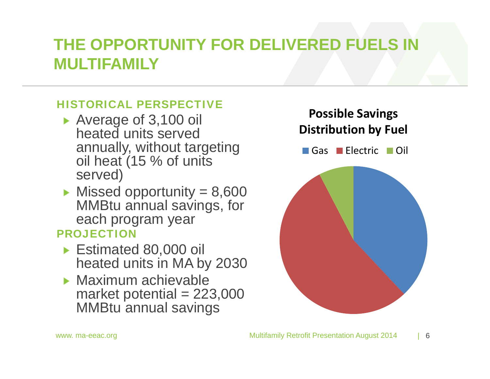# **THE OPPORTUNITY FOR DELIVERED FUELS IN MULTIFAMILY**

### HISTORICAL PERSPECTIVE

- Average of 3,100 oil heated units served annually, without targeting oil heat (15 % of units served)
- $\blacktriangleright$  Missed opportunity = 8,600 MMBtu annual savings, for each program year

### PROJECTION

- ► Estimated 80,000 oil heated units in MA by 2030
- $\blacktriangleright$  Maximum achievable market potential  $= 223,000$ MMBtu annual savings

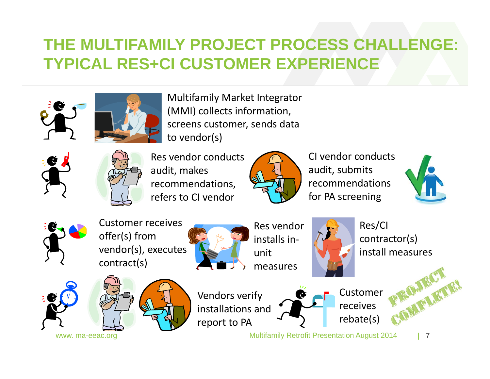# **THE MULTIFAMILY PROJECT PROCESS CHALLE TYPICAL RES+CI CUSTOMER EXPERIENCE**





Multifamily Market Integrator (MMI) collects information, screens customer, sends data to vendor(s)





Res vendor conducts audit, makes recommendations, refers to CI vendor



CI vendor conductsaudit, submits recommendationsfor PA screening





Customer receivesoffer(s) from vendor(s), executes contract(s)



Res vendor installs in‐ unitmeasures



Res/CI contractor(s) install measures





Vendors verify installations and report to PA



Customerreceivesrebate(s)

www. ma-eeac.org **Multifamily Retrofit Presentation August 2014** 

| 7

DELLET!

BOaly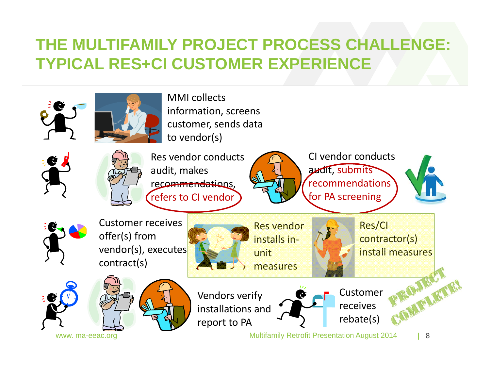# **THE MULTIFAMILY PROJECT PROCESS CHALLENGE: TYPICAL RES+CI CUSTOMER EXPERIENCE**

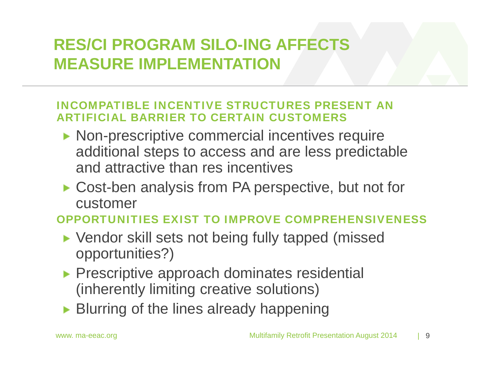# **RES/CI PROGRAM SILO-ING AFFECTS MEASURE IMPLEMENTATION**

### INCOMPATIBLE INCENTIVE STRUCTURES PRESENT AN ARTIFICIAL BARRIER TO CERTAIN CUSTOMERS

- ▶ Non-prescriptive commercial incentives require additional steps to access and are less predictable and attractive than res incentives
- ▶ Cost-ben analysis from PA perspective, but not for customer

### OPPORTUNITIES EXIST TO IMPROVE COMPREHENSIVENESS

- ▶ Vendor skill sets not being fully tapped (missed opportunities?)
- **Prescriptive approach dominates residential** (inherently limiting creative solutions)
- ▶ Blurring of the lines already happening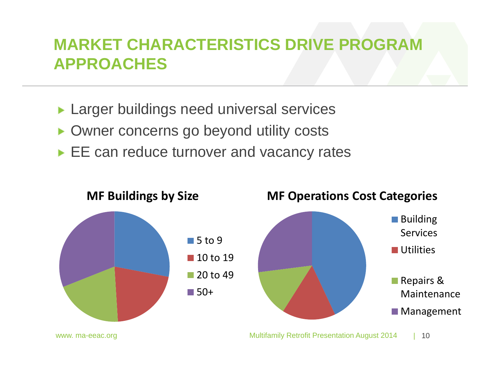# **MARKET CHARACTERISTICS DRIVE PROGRAM APPROACHES**

- Larger buildings need universal services  $\blacktriangleright$
- ▶ Owner concerns go beyond utility costs
- EE can reduce turnover and vacancy rates

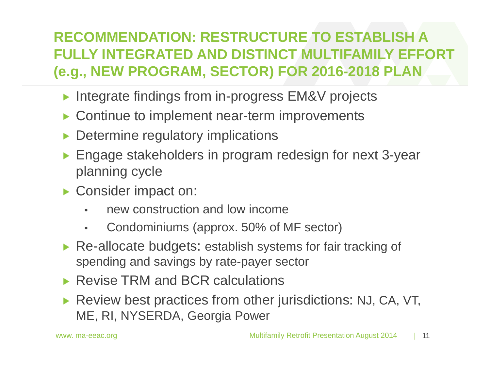### **RECOMMENDATION: RESTRUCTURE TO ESTABLISH A FULLY INTEGRATED AND DISTINCT MULTIFAMILY EFFORT (e.g., NEW PROGRAM, SECTOR) FOR 2016-2018 PLAN**

- ▶ Integrate findings from in-progress EM&V projects
- Continue to implement near-term improvements
- Determine regulatory implications
- Engage stakeholders in program redesign for next 3-year planning cycle
- Consider impact on:
	- •new construction and low income
	- •Condominiums (approx. 50% of MF sector)
- ▶ Re-allocate budgets: establish systems for fair tracking of spending and savings by rate-payer sector
- ▶ Revise TRM and BCR calculations
- Review best practices from other jurisdictions: NJ, CA, VT, ME, RI, NYSERDA, Georgia Power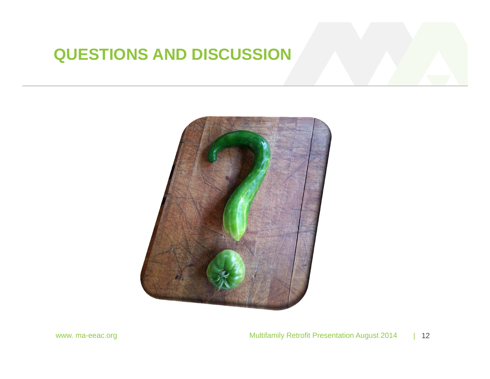# **QUESTIONS AND DISCUSSION**

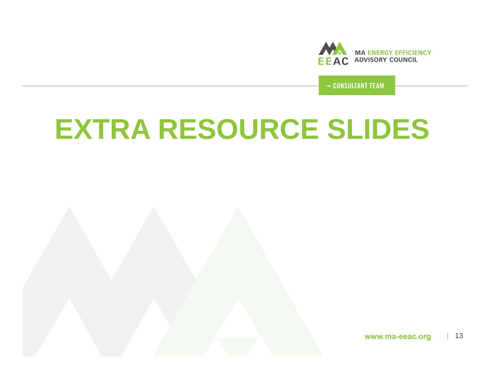

→ CONSULTANT TEAM

# **EXTRA RESOURCE SLIDES**

| 13www.ma-eeac.org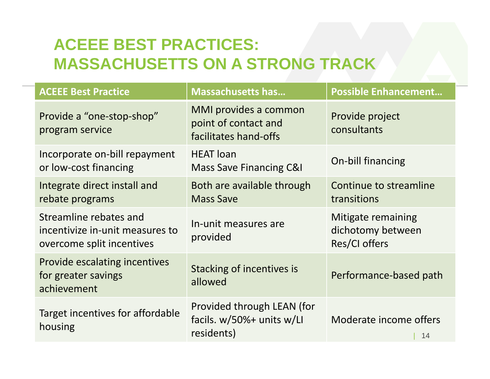# **ACEEE BEST PRACTICES: MASSACHUSETTS ON A STRONG TRACK**

| <b>ACEEE Best Practice</b>                                                             | <b>Massachusetts has</b>                                                 | <b>Possible Enhancement</b>                              |
|----------------------------------------------------------------------------------------|--------------------------------------------------------------------------|----------------------------------------------------------|
| Provide a "one-stop-shop"<br>program service                                           | MMI provides a common<br>point of contact and<br>facilitates hand-offs   | Provide project<br>consultants                           |
| Incorporate on-bill repayment<br>or low-cost financing                                 | <b>HEAT</b> loan<br><b>Mass Save Financing C&amp;I</b>                   | On-bill financing                                        |
| Integrate direct install and<br>rebate programs                                        | Both are available through<br><b>Mass Save</b>                           | Continue to streamline<br>transitions                    |
| Streamline rebates and<br>incentivize in-unit measures to<br>overcome split incentives | In-unit measures are<br>provided                                         | Mitigate remaining<br>dichotomy between<br>Res/CI offers |
| Provide escalating incentives<br>for greater savings<br>achievement                    | Stacking of incentives is<br>allowed                                     | Performance-based path                                   |
| Target incentives for affordable<br>housing                                            | Provided through LEAN (for<br>facils. $w/50%$ + units w/LI<br>residents) | Moderate income offers<br>14                             |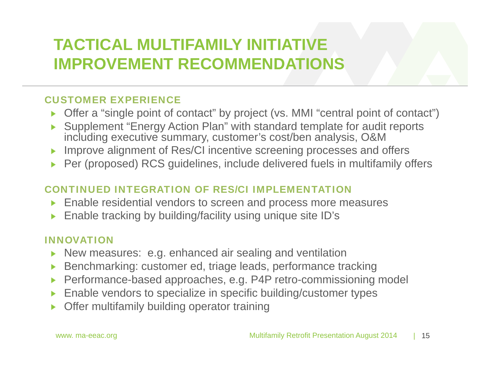# **TACTICAL MULTIFAMILY INITIATIVE IMPROVEMENT RECOMMENDATIONS**

### CUSTOMER EXPERIENCE

- Offer a "single point of contact" by project (vs. MMI "central point of contact")
- Supplement "Energy Action Plan" with standard template for audit reports including executive summary, customer's cost/ben analysis, O&M
- Improve alignment of Res/CI incentive screening processes and offers Ы
- ▶ Per (proposed) RCS guidelines, include delivered fuels in multifamily offers

### CONTINUED INTEGRATION OF RES/CI IMPLEMENTATION

- Enable residential vendors to screen and process more measures Þ.
- Enable tracking by building/facility using unique site ID's Ы

#### INNOVATION

- New measures: e.g. enhanced air sealing and ventilation Þ.
- Benchmarking: customer ed, triage leads, performance tracking ▶
- Performance-based approaches, e.g. P4P retro-commissioning model ь
- Enable vendors to specialize in specific building/customer types Ы
- Offer multifamily building operator training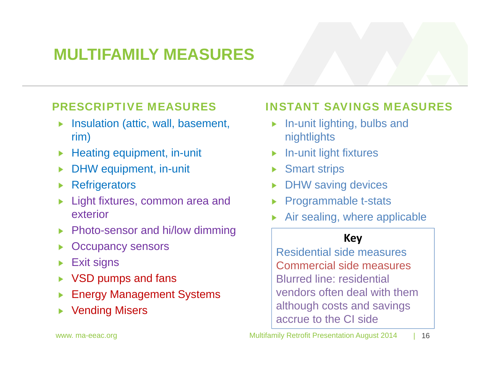# **MULTIFAMILY MEASURES**

### PRESCRIPTIVE MEASURES

- Insulation (attic, wall, basement, rim)
- Heating equipment, in-unit
- DHW equipment, in-unit
- **Refrigerators**
- Light fixtures, common area and exterior
- ▶ Photo-sensor and hi/low dimming
- Occupancy sensors
- Exit signs
- ▶ VSD pumps and fans
- Energy Management Systems
- Vending Misers

### INSTANT SAVINGS MEASURES

- $\blacktriangleright$  In-unit lighting, bulbs and nightlights
- In-unit light fixtures
- Smart strips
- DHW saving devices
- Programmable t-stats
- Air sealing, where applicable

### **Key**

Residential side measuresCommercial side measuresBlurred line: residential vendors often deal with them although costs and savings accrue to the CI side